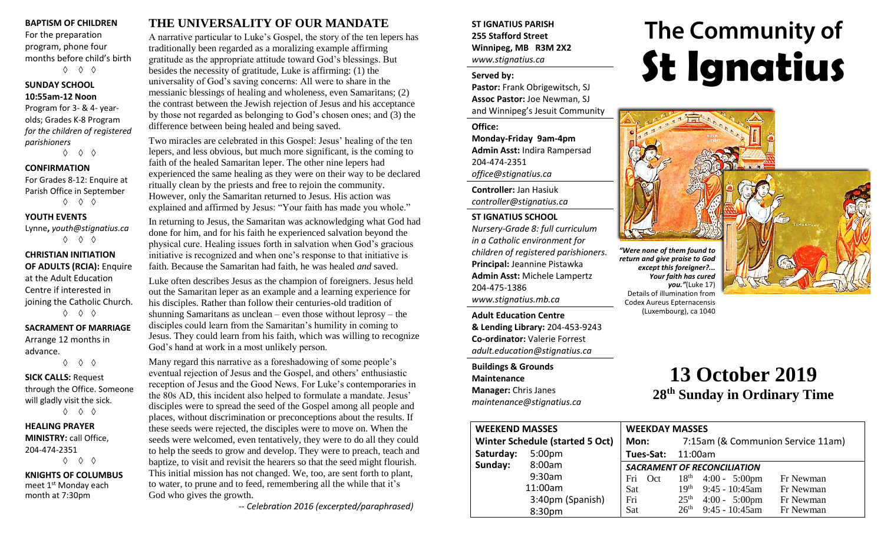#### **BAPTISM OF CHILDREN**

For the preparation program, phone four months before child's birth ◊ ◊ ◊

## **SUNDAY SCHOOL**

**10:55am-12 Noon** Program for 3- & 4- yearolds; Grades K-8 Program *for the children of registered parishioners*

◊ ◊ ◊

#### **CONFIRMATION**

For Grades 8-12: Enquire at Parish Office in September ◊ ◊ ◊

#### **YOUTH EVENTS**

Lynne**,** *youth@stignatius.ca* ◊ ◊ ◊

#### **CHRISTIAN INITIATION OF ADULTS (RCIA):** Enquire at the Adult Education Centre if interested in joining the Catholic Church. ◊ ◊ ◊

#### **SACRAMENT OF MARRIAGE** Arrange 12 months in

advance. ◊ ◊ ◊

#### **SICK CALLS:** Request through the Office. Someone will gladly visit the sick. ◊ ◊ ◊

**HEALING PRAYER MINISTRY:** call Office, 204-474-2351 ◊ ◊ ◊

**KNIGHTS OF COLUMBUS** meet 1<sup>st</sup> Monday each month at 7:30pm

## **THE UNIVERSALITY OF OUR MANDATE**

A narrative particular to Luke's Gospel, the story of the ten lepers has traditionally been regarded as a moralizing example affirming gratitude as the appropriate attitude toward God's blessings. But besides the necessity of gratitude, Luke is affirming: (1) the universality of God's saving concerns: All were to share in the messianic blessings of healing and wholeness, even Samaritans; (2) the contrast between the Jewish rejection of Jesus and his acceptance by those not regarded as belonging to God's chosen ones; and (3) the difference between being healed and being saved.

Two miracles are celebrated in this Gospel: Jesus' healing of the ten lepers, and less obvious, but much more significant, is the coming to faith of the healed Samaritan leper. The other nine lepers had experienced the same healing as they were on their way to be declared ritually clean by the priests and free to rejoin the community. However, only the Samaritan returned to Jesus. His action was explained and affirmed by Jesus: "Your faith has made you whole."

In returning to Jesus, the Samaritan was acknowledging what God had done for him, and for his faith he experienced salvation beyond the physical cure. Healing issues forth in salvation when God's gracious initiative is recognized and when one's response to that initiative is faith. Because the Samaritan had faith, he was healed *and* saved.

Luke often describes Jesus as the champion of foreigners. Jesus held out the Samaritan leper as an example and a learning experience for his disciples. Rather than follow their centuries-old tradition of shunning Samaritans as unclean – even those without leprosy – the disciples could learn from the Samaritan's humility in coming to Jesus. They could learn from his faith, which was willing to recognize God's hand at work in a most unlikely person.

Many regard this narrative as a foreshadowing of some people's eventual rejection of Jesus and the Gospel, and others' enthusiastic reception of Jesus and the Good News. For Luke's contemporaries in the 80s AD, this incident also helped to formulate a mandate. Jesus' disciples were to spread the seed of the Gospel among all people and places, without discrimination or preconceptions about the results. If these seeds were rejected, the disciples were to move on. When the seeds were welcomed, even tentatively, they were to do all they could to help the seeds to grow and develop. They were to preach, teach and baptize, to visit and revisit the hearers so that the seed might flourish. This initial mission has not changed. We, too, are sent forth to plant, to water, to prune and to feed, remembering all the while that it's God who gives the growth.

*-- Celebration 2016 (excerpted/paraphrased)*

#### **ST IGNATIUS PARISH 255 Stafford Street Winnipeg, MB R3M 2X2** *www.stignatius.ca*

#### **Served by:**

**Pastor:** Frank Obrigewitsch, SJ **Assoc Pastor:** Joe Newman, SJ and Winnipeg's Jesuit Community

**Office:**

**Monday-Friday 9am-4pm Admin Asst:** Indira Rampersad 204-474-2351 *office@stignatius.ca*

**Controller:** Jan Hasiuk *controller@stignatius.ca*

#### **ST IGNATIUS SCHOOL**

*Nursery-Grade 8: full curriculum in a Catholic environment for children of registered parishioners.* **Principal:** Jeannine Pistawka **Admin Asst:** Michele Lampertz 204-475-1386 *www.stignatius.mb.ca*

**Adult Education Centre & Lending Library:** 204-453-9243 **Co-ordinator:** Valerie Forrest *adult.education@stignatius.ca*

**Buildings & Grounds Maintenance Manager:** Chris Janes *maintenance@stignatius.ca*

# The Community of **St Ignatius**



*return and give praise to God except this foreigner?... Your faith has cured you."*(Luke 17) Details of illumination from Codex Aureus Epternacensis (Luxembourg), ca 1040

## **13 October 2019 28 th Sunday in Ordinary Time**

| <b>WEEKEND MASSES</b>           |                    | <b>WEEKDAY MASSES</b>              |                                   |                         |           |
|---------------------------------|--------------------|------------------------------------|-----------------------------------|-------------------------|-----------|
| Winter Schedule (started 5 Oct) |                    | Mon:                               | 7:15am (& Communion Service 11am) |                         |           |
| Saturday:                       | 5:00 <sub>pm</sub> | Tues-Sat:<br>11:00am               |                                   |                         |           |
| Sunday:                         | 8:00am             | <b>SACRAMENT OF RECONCILIATION</b> |                                   |                         |           |
|                                 | 9:30am             | Fri<br>Oct                         |                                   | $18th$ 4:00 - 5:00pm    | Fr Newman |
|                                 | 11:00am            | Sat                                | 19 <sup>th</sup>                  | $9:45 - 10:45$ am       | Fr Newman |
|                                 | 3:40pm (Spanish)   | Fri                                | 25 <sup>th</sup>                  | $4:00 - 5:00 \text{pm}$ | Fr Newman |
|                                 | 8:30pm             | Sat                                | 26 <sup>th</sup>                  | $9:45 - 10:45$ am       | Fr Newman |